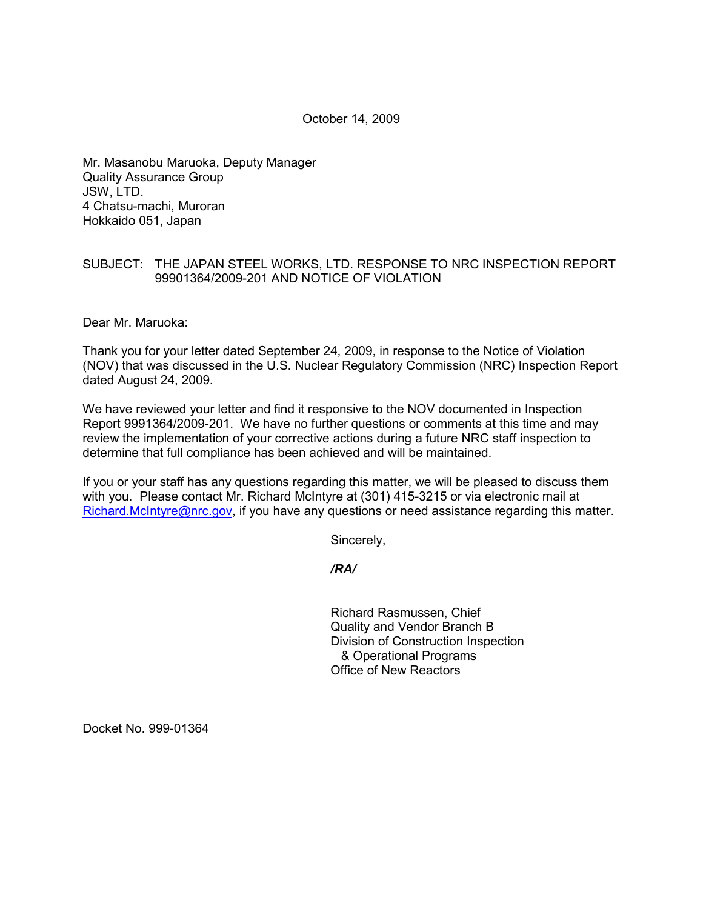October 14, 2009

Mr. Masanobu Maruoka, Deputy Manager Quality Assurance Group JSW, LTD. 4 Chatsu-machi, Muroran Hokkaido 051, Japan

## SUBJECT: THE JAPAN STEEL WORKS, LTD. RESPONSE TO NRC INSPECTION REPORT 99901364/2009-201 AND NOTICE OF VIOLATION

Dear Mr. Maruoka:

Thank you for your letter dated September 24, 2009, in response to the Notice of Violation (NOV) that was discussed in the U.S. Nuclear Regulatory Commission (NRC) Inspection Report dated August 24, 2009.

We have reviewed your letter and find it responsive to the NOV documented in Inspection Report 9991364/2009-201. We have no further questions or comments at this time and may review the implementation of your corrective actions during a future NRC staff inspection to determine that full compliance has been achieved and will be maintained.

If you or your staff has any questions regarding this matter, we will be pleased to discuss them with you. Please contact Mr. Richard McIntyre at (301) 415-3215 or via electronic mail at Richard.McIntyre@nrc.gov, if you have any questions or need assistance regarding this matter.

Sincerely,

 */RA/* 

Richard Rasmussen, Chief Quality and Vendor Branch B Division of Construction Inspection & Operational Programs Office of New Reactors

Docket No. 999-01364